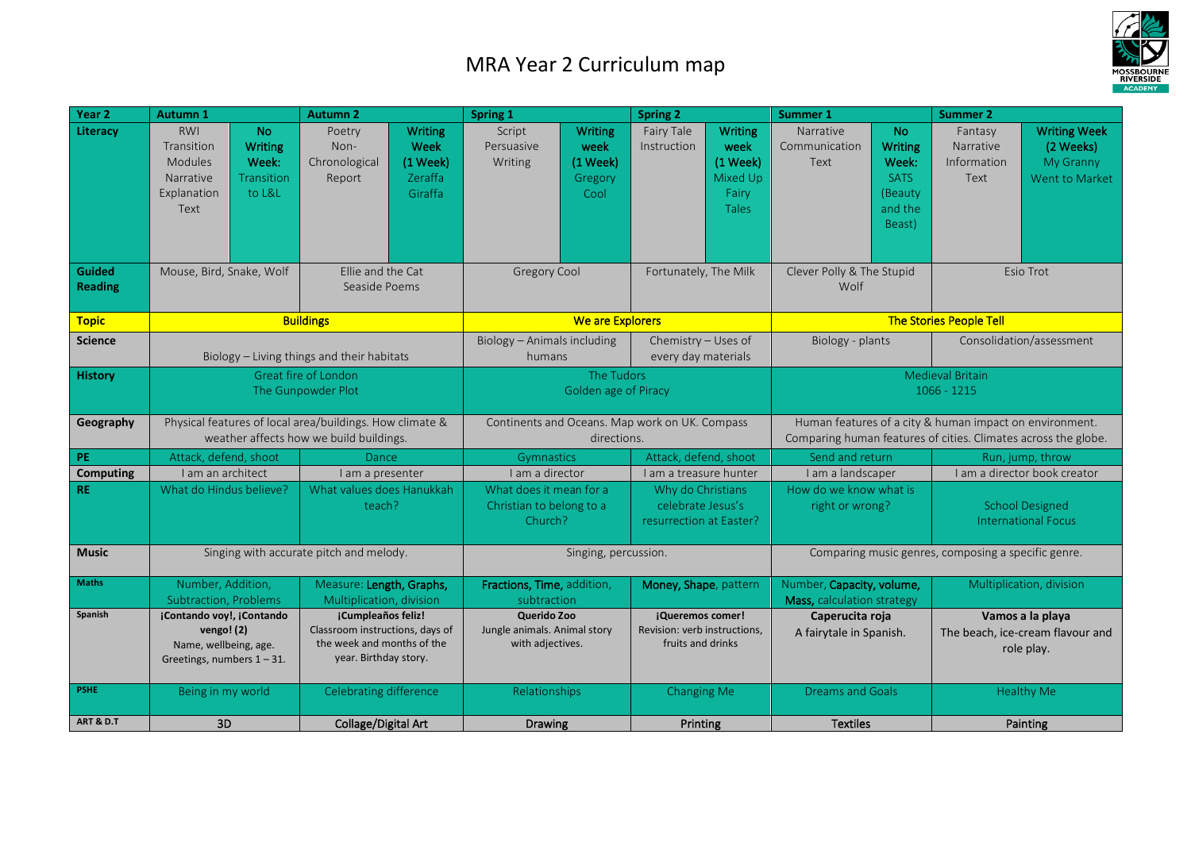## MRA Year 2 Curriculum map



| Year <sub>2</sub>         | Autumn 1                                                                                                   |                                                                     | <b>Autumn 2</b>                                                                                              |                                                               | Spring 1                                                        |                                                            | <b>Spring 2</b>                                                       |                                                                           | <b>Summer 1</b>                                                                                                           |                                                                                     | <b>Summer 2</b>                                      |                                                                              |
|---------------------------|------------------------------------------------------------------------------------------------------------|---------------------------------------------------------------------|--------------------------------------------------------------------------------------------------------------|---------------------------------------------------------------|-----------------------------------------------------------------|------------------------------------------------------------|-----------------------------------------------------------------------|---------------------------------------------------------------------------|---------------------------------------------------------------------------------------------------------------------------|-------------------------------------------------------------------------------------|------------------------------------------------------|------------------------------------------------------------------------------|
| Literacy<br><b>Guided</b> | <b>RWI</b><br>Transition<br><b>Modules</b><br>Narrative<br>Explanation<br>Text<br>Mouse, Bird, Snake, Wolf | <b>No</b><br><b>Writing</b><br>Week:<br><b>Transition</b><br>to L&L | Poetry<br>Non-<br>Chronological<br>Report<br>Ellie and the Cat                                               | <b>Writing</b><br>Week<br>$(1$ Week $)$<br>Zeraffa<br>Giraffa | Script<br>Persuasive<br>Writing<br>Gregory Cool                 | <b>Writing</b><br>week<br>$(1$ Week $)$<br>Gregory<br>Cool | Fairy Tale<br>Instruction<br>Fortunately, The Milk                    | <b>Writing</b><br>week<br>$(1$ Week)<br>Mixed Up<br>Fairy<br><b>Tales</b> | Narrative<br>Communication<br>Text<br>Clever Polly & The Stupid                                                           | <b>No</b><br><b>Writing</b><br>Week:<br><b>SATS</b><br>(Beauty<br>and the<br>Beast) | Fantasy<br>Narrative<br>Information<br>Text          | <b>Writing Week</b><br>(2 Weeks)<br>My Granny<br>Went to Market<br>Esio Trot |
| <b>Reading</b>            |                                                                                                            |                                                                     | Seaside Poems                                                                                                |                                                               |                                                                 |                                                            |                                                                       |                                                                           | Wolf                                                                                                                      |                                                                                     |                                                      |                                                                              |
| <b>Topic</b>              |                                                                                                            |                                                                     | <b>Buildings</b>                                                                                             |                                                               | <b>We are Explorers</b>                                         |                                                            |                                                                       |                                                                           |                                                                                                                           |                                                                                     | <b>The Stories People Tell</b>                       |                                                                              |
| <b>Science</b>            |                                                                                                            |                                                                     | Biology - Living things and their habitats                                                                   |                                                               | Biology - Animals including<br>humans                           |                                                            | Chemistry - Uses of<br>every day materials                            |                                                                           | Biology - plants                                                                                                          |                                                                                     | Consolidation/assessment                             |                                                                              |
| <b>History</b>            | Great fire of London<br>The Gunpowder Plot                                                                 |                                                                     |                                                                                                              | The Tudors<br>Golden age of Piracy                            |                                                                 |                                                            | <b>Medieval Britain</b><br>$1066 - 1215$                              |                                                                           |                                                                                                                           |                                                                                     |                                                      |                                                                              |
| Geography                 | Physical features of local area/buildings. How climate &<br>weather affects how we build buildings.        |                                                                     |                                                                                                              |                                                               | Continents and Oceans. Map work on UK. Compass<br>directions.   |                                                            |                                                                       |                                                                           | Human features of a city & human impact on environment.<br>Comparing human features of cities. Climates across the globe. |                                                                                     |                                                      |                                                                              |
| PE                        | Attack, defend, shoot                                                                                      |                                                                     | Dance                                                                                                        |                                                               | Gymnastics                                                      |                                                            | Attack, defend, shoot                                                 |                                                                           | Send and return                                                                                                           |                                                                                     | Run, jump, throw                                     |                                                                              |
| <b>Computing</b>          | I am an architect                                                                                          |                                                                     | I am a presenter                                                                                             |                                                               | I am a director                                                 |                                                            | I am a treasure hunter                                                |                                                                           | I am a landscaper                                                                                                         |                                                                                     | I am a director book creator                         |                                                                              |
| <b>RE</b>                 | What do Hindus believe?                                                                                    |                                                                     | What values does Hanukkah<br>teach?                                                                          |                                                               | What does it mean for a<br>Christian to belong to a<br>Church?  |                                                            | Why do Christians<br>celebrate Jesus's<br>resurrection at Easter?     |                                                                           | How do we know what is<br>right or wrong?                                                                                 |                                                                                     | <b>School Designed</b><br><b>International Focus</b> |                                                                              |
| <b>Music</b>              |                                                                                                            |                                                                     | Singing with accurate pitch and melody.                                                                      |                                                               | Singing, percussion.                                            |                                                            |                                                                       |                                                                           | Comparing music genres, composing a specific genre.                                                                       |                                                                                     |                                                      |                                                                              |
| <b>Maths</b>              | Number, Addition,<br>Subtraction, Problems                                                                 |                                                                     | Measure: Length, Graphs,<br>Multiplication, division                                                         |                                                               | Fractions, Time, addition,<br>subtraction                       |                                                            | Money, Shape, pattern                                                 |                                                                           | Number, Capacity, volume,<br>Mass, calculation strategy                                                                   |                                                                                     | Multiplication, division                             |                                                                              |
| <b>Spanish</b>            | ¡Contando voy!, ¡Contando<br>vengo! (2)<br>Name, wellbeing, age.<br>Greetings, numbers $1 - 31$ .          |                                                                     | ¡Cumpleaños feliz!<br>Classroom instructions, days of<br>the week and months of the<br>year. Birthday story. |                                                               | Querido Zoo<br>Jungle animals. Animal story<br>with adjectives. |                                                            | ¡Queremos comer!<br>Revision: verb instructions,<br>fruits and drinks |                                                                           | Caperucita roja<br>A fairytale in Spanish.                                                                                |                                                                                     |                                                      | Vamos a la playa<br>The beach, ice-cream flavour and<br>role play.           |
| <b>PSHE</b>               | Being in my world                                                                                          |                                                                     | Celebrating difference                                                                                       |                                                               | Relationships                                                   |                                                            | <b>Changing Me</b>                                                    |                                                                           | <b>Dreams and Goals</b>                                                                                                   |                                                                                     |                                                      | Healthy Me                                                                   |
| <b>ART &amp; D.T</b>      | 3D                                                                                                         |                                                                     | Collage/Digital Art                                                                                          |                                                               | <b>Drawing</b>                                                  |                                                            | Printing                                                              |                                                                           | <b>Textiles</b>                                                                                                           |                                                                                     | Painting                                             |                                                                              |